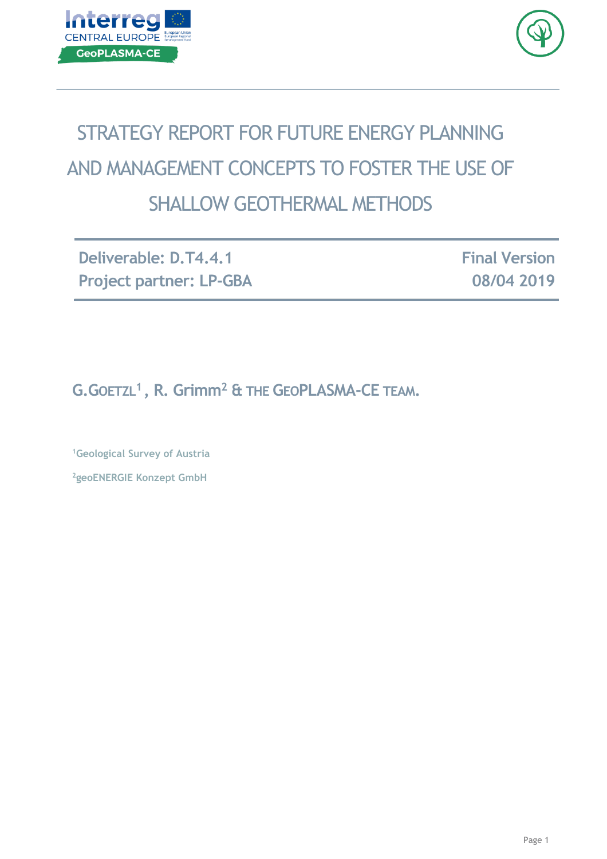



# STRATEGY REPORT FOR FUTURE ENERGY PLANNING AND MANAGEMENT CONCEPTS TO FOSTER THE USE OF SHALLOW GEOTHERMAL METHODS

**Deliverable: D.T4.4.1 Project partner: LP-GBA** **Final Version 08/04 2019**

**G.GOETZL<sup>1</sup> , R. Grimm<sup>2</sup> & THE GEOPLASMA-CE TEAM.**

**<sup>1</sup>Geological Survey of Austria <sup>2</sup>geoENERGIE Konzept GmbH**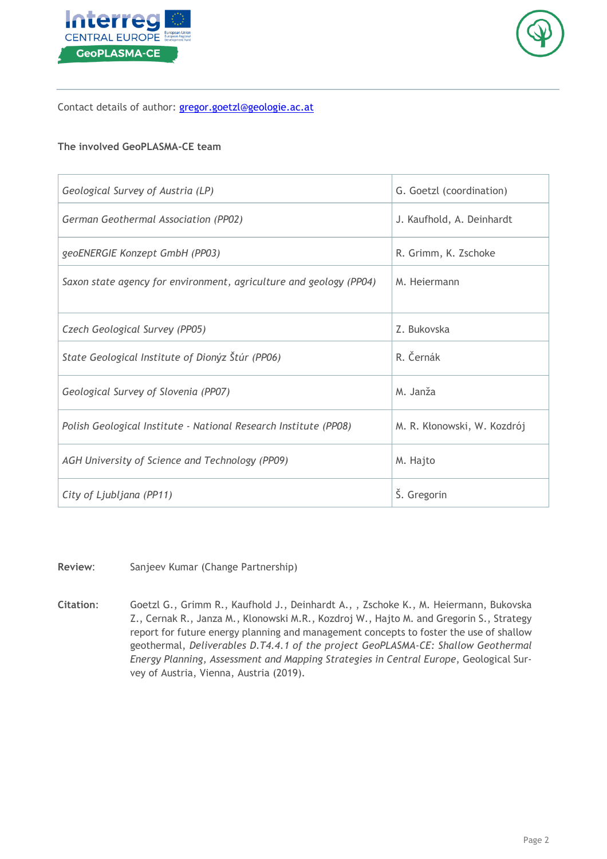



Contact details of author: [gregor.goetzl@geologie.ac.at](mailto:gregor.goetzl@geologie.ac.at)

#### **The involved GeoPLASMA-CE team**

| Geological Survey of Austria (LP)                                  | G. Goetzl (coordination)    |
|--------------------------------------------------------------------|-----------------------------|
| German Geothermal Association (PP02)                               | J. Kaufhold, A. Deinhardt   |
| geoENERGIE Konzept GmbH (PP03)                                     | R. Grimm, K. Zschoke        |
| Saxon state agency for environment, agriculture and geology (PP04) | M. Hejermann                |
| Czech Geological Survey (PP05)                                     | Z. Bukovska                 |
| State Geological Institute of Dionýz Štúr (PP06)                   | R. Černák                   |
| Geological Survey of Slovenia (PP07)                               | M. Janža                    |
| Polish Geological Institute - National Research Institute (PP08)   | M. R. Kłonowski, W. Kozdrój |
| AGH University of Science and Technology (PP09)                    | M. Hajto                    |
| City of Ljubljana (PP11)                                           | Š. Gregorin                 |

**Review**: Sanjeev Kumar (Change Partnership)

**Citation**: Goetzl G., Grimm R., Kaufhold J., Deinhardt A., , Zschoke K., M. Heiermann, Bukovska Z., Cernak R., Janza M., Klonowski M.R., Kozdroj W., Hajto M. and Gregorin S., Strategy report for future energy planning and management concepts to foster the use of shallow geothermal, *Deliverables D.T4.4.1 of the project GeoPLASMA-CE: Shallow Geothermal Energy Planning, Assessment and Mapping Strategies in Central Europe*, Geological Survey of Austria, Vienna, Austria (2019).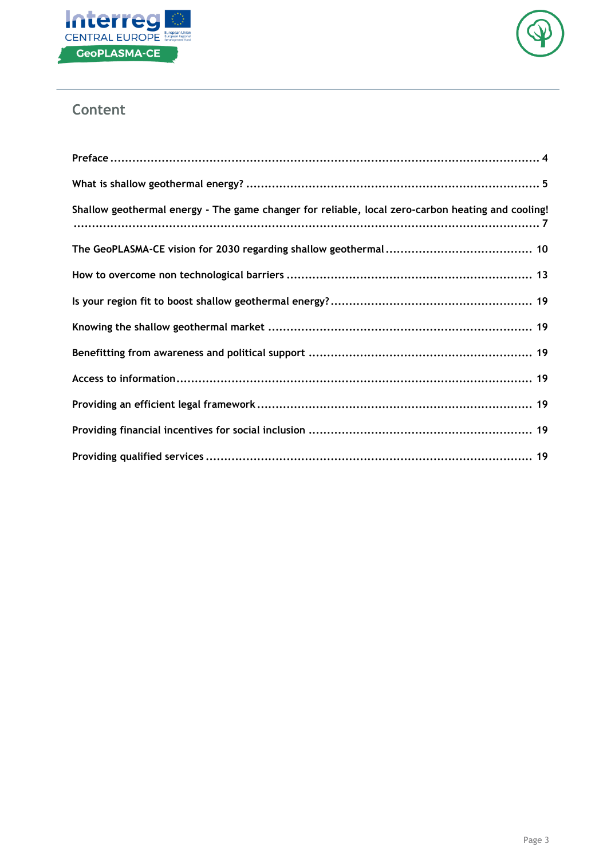



# **Content**

| Shallow geothermal energy - The game changer for reliable, local zero-carbon heating and cooling! |
|---------------------------------------------------------------------------------------------------|
|                                                                                                   |
|                                                                                                   |
|                                                                                                   |
|                                                                                                   |
|                                                                                                   |
|                                                                                                   |
|                                                                                                   |
|                                                                                                   |
|                                                                                                   |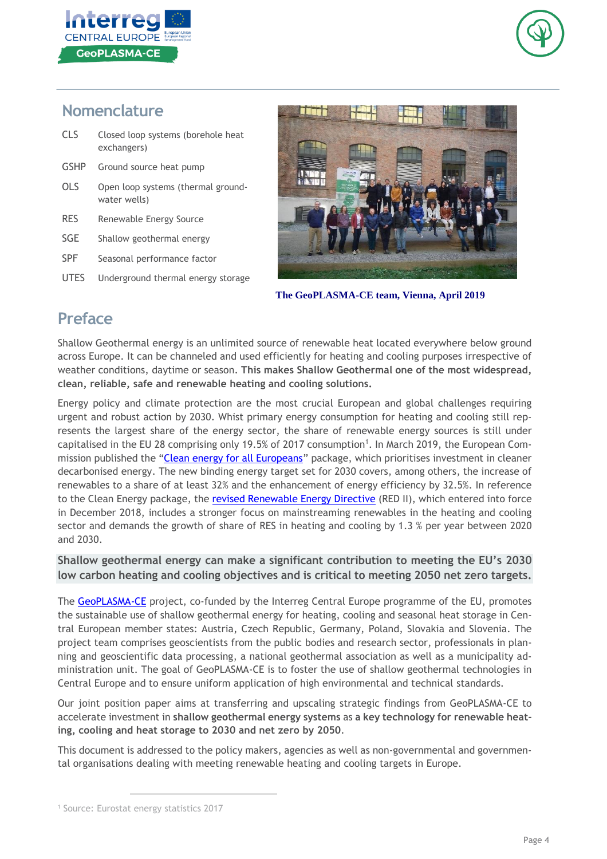



# **Nomenclature**

| <b>CLS</b> | Closed loop systems (borehole heat<br>exchangers)  |  |
|------------|----------------------------------------------------|--|
| GSHP       | Ground source heat pump                            |  |
| OLS        | Open loop systems (thermal ground-<br>water wells) |  |
| <b>RES</b> | Renewable Energy Source                            |  |
| SGE        | Shallow geothermal energy                          |  |
| <b>SPF</b> | Seasonal performance factor                        |  |
| UTES       | Underground thermal energy storage                 |  |



 **The GeoPLASMA-CE team, Vienna, April 2019**

# **Preface**

Shallow Geothermal energy is an unlimited source of renewable heat located everywhere below ground across Europe. It can be channeled and used efficiently for heating and cooling purposes irrespective of weather conditions, daytime or season. **This makes Shallow Geothermal one of the most widespread, clean, reliable, safe and renewable heating and cooling solutions.**

Energy policy and climate protection are the most crucial European and global challenges requiring urgent and robust action by 2030. Whist primary energy consumption for heating and cooling still represents the largest share of the energy sector, the share of renewable energy sources is still under capitalised in the EU 28 comprising only 19.5% of 2017 consumption<sup>1</sup>. In March 2019, the European Com-mission published the "Clean energy for all [Europeans](https://publications.europa.eu/en/publication-detail/-/publication/b4e46873-7528-11e9-9f05-01aa75ed71a1/language-en?WT.mc_id=Searchresult&WT.ria_c=null&WT.ria_f=3608&WT.ria_ev=search)" package, which prioritises investment in cleaner decarbonised energy. The new binding energy target set for 2030 covers, among others, the increase of renewables to a share of at least 32% and the enhancement of energy efficiency by 32.5%. In reference to the Clean Energy package, the revised [Renewable](https://eur-lex.europa.eu/legal-content/EN/TXT/?uri=uriserv:OJ.L_.2018.328.01.0082.01.ENG&toc=OJ:L:2018:328:TOC) Energy Directive (RED II), which entered into force in December 2018, includes a stronger focus on mainstreaming renewables in the heating and cooling sector and demands the growth of share of RES in heating and cooling by 1.3 % per year between 2020 and 2030.

### **Shallow geothermal energy can make a significant contribution to meeting the EU's 2030 low carbon heating and cooling objectives and is critical to meeting 2050 net zero targets.**

The [GeoPLASMA-CE](http://www.geoplasma-ce.eu/) project, co-funded by the Interreg Central Europe programme of the EU, promotes the sustainable use of shallow geothermal energy for heating, cooling and seasonal heat storage in Central European member states: Austria, Czech Republic, Germany, Poland, Slovakia and Slovenia. The project team comprises geoscientists from the public bodies and research sector, professionals in planning and geoscientific data processing, a national geothermal association as well as a municipality administration unit. The goal of GeoPLASMA-CE is to foster the use of shallow geothermal technologies in Central Europe and to ensure uniform application of high environmental and technical standards.

Our joint position paper aims at transferring and upscaling strategic findings from GeoPLASMA-CE to accelerate investment in **shallow geothermal energy systems** as **a key technology for renewable heating, cooling and heat storage to 2030 and net zero by 2050**.

This document is addressed to the policy makers, agencies as well as non-governmental and governmental organisations dealing with meeting renewable heating and cooling targets in Europe.

<sup>1</sup> Source: Eurostat energy statistics 2017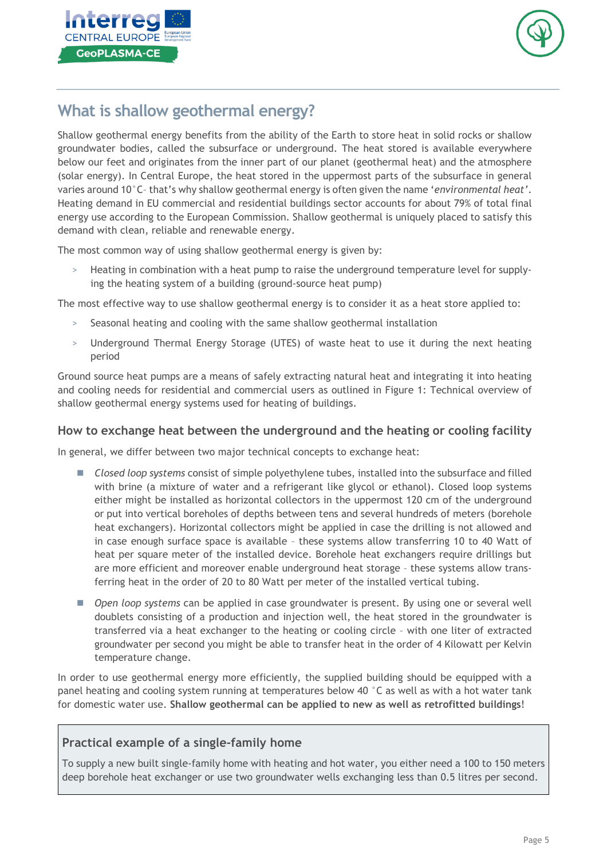



# **What is shallow geothermal energy?**

Shallow geothermal energy benefits from the ability of the Earth to store heat in solid rocks or shallow groundwater bodies, called the subsurface or underground. The heat stored is available everywhere below our feet and originates from the inner part of our planet (geothermal heat) and the atmosphere (solar energy). In Central Europe, the heat stored in the uppermost parts of the subsurface in general varies around 10°C– that's why shallow geothermal energy is often given the name '*environmental heat'*. Heating demand in EU commercial and residential buildings sector accounts for about 79% of total final energy use according to the European Commission. Shallow geothermal is uniquely placed to satisfy this demand with clean, reliable and renewable energy.

The most common way of using shallow geothermal energy is given by:

> Heating in combination with a heat pump to raise the underground temperature level for supplying the heating system of a building (ground-source heat pump)

The most effective way to use shallow geothermal energy is to consider it as a heat store applied to:

- Seasonal heating and cooling with the same shallow geothermal installation
- > Underground Thermal Energy Storage (UTES) of waste heat to use it during the next heating period

Ground source heat pumps are a means of safely extracting natural heat and integrating it into heating and cooling needs for residential and commercial users as outlined in Figure 1: Technical overview of shallow geothermal energy systems used for heating of buildings.

#### **How to exchange heat between the underground and the heating or cooling facility**

In general, we differ between two major technical concepts to exchange heat:

- ◼ *Closed loop systems* consist of simple polyethylene tubes, installed into the subsurface and filled with brine (a mixture of water and a refrigerant like glycol or ethanol). Closed loop systems either might be installed as horizontal collectors in the uppermost 120 cm of the underground or put into vertical boreholes of depths between tens and several hundreds of meters (borehole heat exchangers). Horizontal collectors might be applied in case the drilling is not allowed and in case enough surface space is available – these systems allow transferring 10 to 40 Watt of heat per square meter of the installed device. Borehole heat exchangers require drillings but are more efficient and moreover enable underground heat storage – these systems allow transferring heat in the order of 20 to 80 Watt per meter of the installed vertical tubing.
- *Open loop systems* can be applied in case groundwater is present. By using one or several well doublets consisting of a production and injection well, the heat stored in the groundwater is transferred via a heat exchanger to the heating or cooling circle – with one liter of extracted groundwater per second you might be able to transfer heat in the order of 4 Kilowatt per Kelvin temperature change.

In order to use geothermal energy more efficiently, the supplied building should be equipped with a panel heating and cooling system running at temperatures below 40 °C as well as with a hot water tank for domestic water use. **Shallow geothermal can be applied to new as well as retrofitted buildings**!

### **Practical example of a single-family home**

To supply a new built single-family home with heating and hot water, you either need a 100 to 150 meters deep borehole heat exchanger or use two groundwater wells exchanging less than 0.5 litres per second.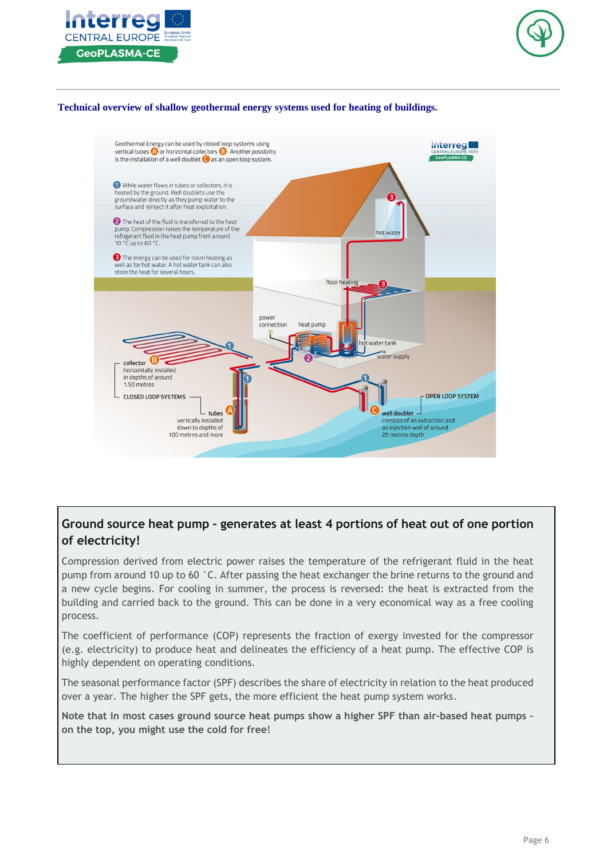



#### **Technical overview of shallow geothermal energy systems used for heating of buildings.**



### **Ground source heat pump – generates at least 4 portions of heat out of one portion of electricity!**

Compression derived from electric power raises the temperature of the refrigerant fluid in the heat pump from around 10 up to 60 °C. After passing the heat exchanger the brine returns to the ground and a new cycle begins. For cooling in summer, the process is reversed: the heat is extracted from the building and carried back to the ground. This can be done in a very economical way as a free cooling process.

The coefficient of performance (COP) represents the fraction of exergy invested for the compressor (e.g. electricity) to produce heat and delineates the efficiency of a heat pump. The effective COP is highly dependent on operating conditions.

The seasonal performance factor (SPF) describes the share of electricity in relation to the heat produced over a year. The higher the SPF gets, the more efficient the heat pump system works.

**Note that in most cases ground source heat pumps show a higher SPF than air-based heat pumps – on the top, you might use the cold for free**!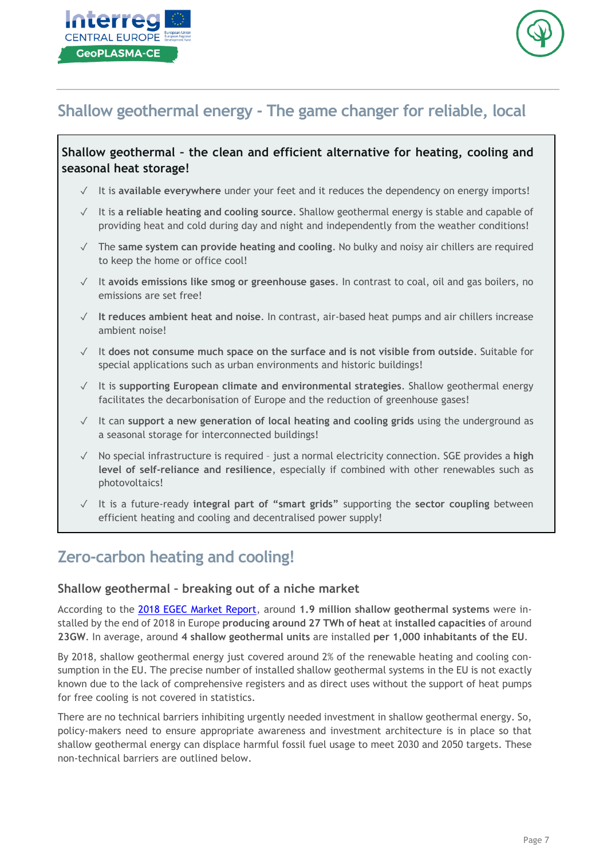



# **Shallow geothermal energy - The game changer for reliable, local**

### **Shallow geothermal – the clean and efficient alternative for heating, cooling and seasonal heat storage!**

- ✓ It is **available everywhere** under your feet and it reduces the dependency on energy imports!
- ✓ It is **a reliable heating and cooling source**. Shallow geothermal energy is stable and capable of providing heat and cold during day and night and independently from the weather conditions!
- ✓ The **same system can provide heating and cooling**. No bulky and noisy air chillers are required to keep the home or office cool!
- ✓ It **avoids emissions like smog or greenhouse gases**. In contrast to coal, oil and gas boilers, no emissions are set free!
- ✓ **It reduces ambient heat and noise**. In contrast, air-based heat pumps and air chillers increase ambient noise!
- ✓ It **does not consume much space on the surface and is not visible from outside**. Suitable for special applications such as urban environments and historic buildings!
- ✓ It is **supporting European climate and environmental strategies**. Shallow geothermal energy facilitates the decarbonisation of Europe and the reduction of greenhouse gases!
- ✓ It can **support a new generation of local heating and cooling grids** using the underground as a seasonal storage for interconnected buildings!
- ✓ No special infrastructure is required just a normal electricity connection. SGE provides a **high level of self-reliance and resilience**, especially if combined with other renewables such as photovoltaics!
- ✓ It is a future-ready **integral part of "smart grids"** supporting the **sector coupling** between efficient heating and cooling and decentralised power supply!

# **Zero-carbon heating and cooling!**

#### **Shallow geothermal – breaking out of a niche market**

According to the 2018 EGEC Market [Report,](https://www.egec.org/media-publications/egec-geothermal-market-report-2018/) around **1.9 million shallow geothermal systems** were installed by the end of 2018 in Europe **producing around 27 TWh of heat** at **installed capacities** of around **23GW**. In average, around **4 shallow geothermal units** are installed **per 1,000 inhabitants of the EU**.

By 2018, shallow geothermal energy just covered around 2% of the renewable heating and cooling consumption in the EU. The precise number of installed shallow geothermal systems in the EU is not exactly known due to the lack of comprehensive registers and as direct uses without the support of heat pumps for free cooling is not covered in statistics.

There are no technical barriers inhibiting urgently needed investment in shallow geothermal energy. So, policy-makers need to ensure appropriate awareness and investment architecture is in place so that shallow geothermal energy can displace harmful fossil fuel usage to meet 2030 and 2050 targets. These non-technical barriers are outlined below.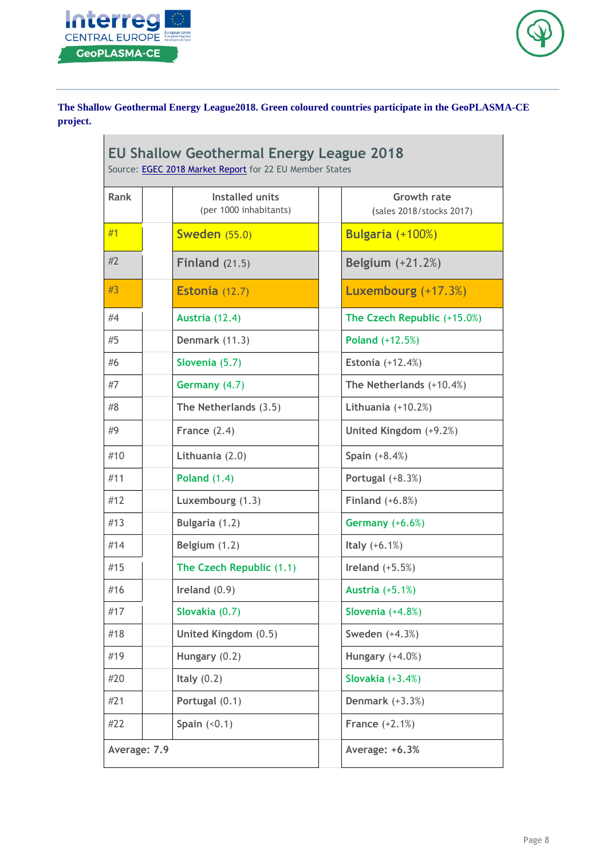



**The Shallow Geothermal Energy League2018. Green coloured countries participate in the GeoPLASMA-CE project.**

| <b>EU Shallow Geothermal Energy League 2018</b><br>Source: EGEC 2018 Market Report for 22 EU Member States |                                                  |                                                |  |
|------------------------------------------------------------------------------------------------------------|--------------------------------------------------|------------------------------------------------|--|
| Rank                                                                                                       | <b>Installed units</b><br>(per 1000 inhabitants) | <b>Growth rate</b><br>(sales 2018/stocks 2017) |  |
| #1                                                                                                         | <b>Sweden</b> (55.0)                             | Bulgaria (+100%)                               |  |
| #2                                                                                                         | Finland $(21.5)$                                 | <b>Belgium</b> (+21.2%)                        |  |
| #3                                                                                                         | Estonia (12.7)                                   | Luxembourg (+17.3%)                            |  |
| #4                                                                                                         | Austria (12.4)                                   | The Czech Republic (+15.0%)                    |  |
| #5                                                                                                         | Denmark (11.3)                                   | Poland (+12.5%)                                |  |
| #6                                                                                                         | Slovenia (5.7)                                   | <b>Estonia</b> (+12.4%)                        |  |
| #7                                                                                                         | Germany (4.7)                                    | The Netherlands (+10.4%)                       |  |
| #8                                                                                                         | The Netherlands (3.5)                            | Lithuania $(+10.2%)$                           |  |
| #9                                                                                                         | France $(2.4)$                                   | United Kingdom (+9.2%)                         |  |
| #10                                                                                                        | Lithuania (2.0)                                  | Spain $(+8.4%)$                                |  |
| #11                                                                                                        | <b>Poland (1.4)</b>                              | Portugal (+8.3%)                               |  |
| #12                                                                                                        | Luxembourg (1.3)                                 | Finland $(+6.8%)$                              |  |
| #13                                                                                                        | Bulgaria (1.2)                                   | Germany (+6.6%)                                |  |
| #14                                                                                                        | Belgium (1.2)                                    | Italy $(+6.1%)$                                |  |
| #15                                                                                                        | The Czech Republic (1.1)                         | Ireland $(+5.5%)$                              |  |
| #16                                                                                                        | Ireland $(0.9)$                                  | <b>Austria</b> (+5.1%)                         |  |
| #17                                                                                                        | Slovakia (0.7)                                   | Slovenia $(+4.8%)$                             |  |
| #18                                                                                                        | United Kingdom (0.5)                             | Sweden $(+4.3%)$                               |  |
| #19                                                                                                        | Hungary (0.2)                                    | Hungary $(+4.0%)$                              |  |
| #20                                                                                                        | Italy $(0.2)$                                    | Slovakia $(+3.4%)$                             |  |
| #21                                                                                                        | Portugal (0.1)                                   | Denmark $(+3.3%)$                              |  |
| #22                                                                                                        | Spain $(0.1)$                                    | <b>France</b> $(+2.1%)$                        |  |
| Average: 7.9                                                                                               |                                                  | Average: +6.3%                                 |  |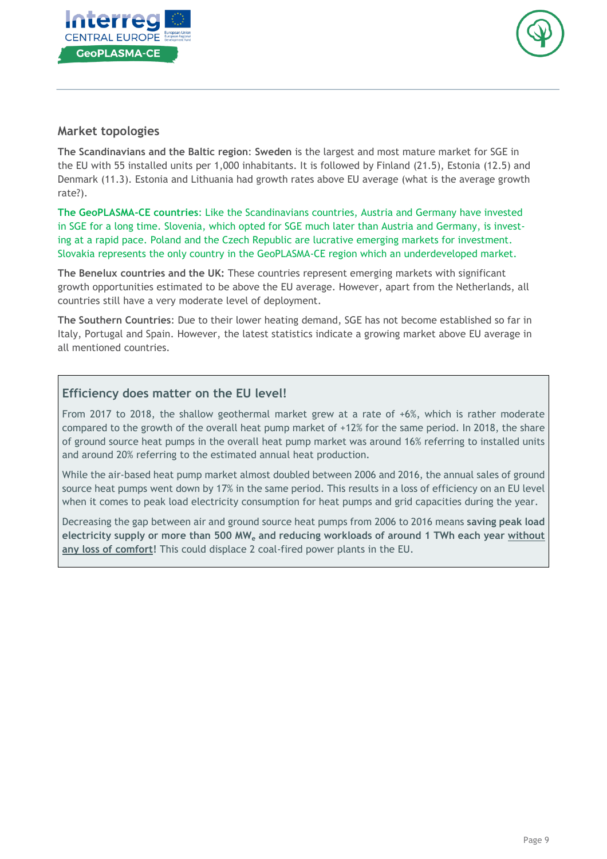



#### **Market topologies**

**The Scandinavians and the Baltic region**: **Sweden** is the largest and most mature market for SGE in the EU with 55 installed units per 1,000 inhabitants. It is followed by Finland (21.5), Estonia (12.5) and Denmark (11.3). Estonia and Lithuania had growth rates above EU average (what is the average growth rate?).

**The GeoPLASMA-CE countries**: Like the Scandinavians countries, Austria and Germany have invested in SGE for a long time. Slovenia, which opted for SGE much later than Austria and Germany, is investing at a rapid pace. Poland and the Czech Republic are lucrative emerging markets for investment. Slovakia represents the only country in the GeoPLASMA-CE region which an underdeveloped market.

**The Benelux countries and the UK:** These countries represent emerging markets with significant growth opportunities estimated to be above the EU average. However, apart from the Netherlands, all countries still have a very moderate level of deployment.

**The Southern Countries**: Due to their lower heating demand, SGE has not become established so far in Italy, Portugal and Spain. However, the latest statistics indicate a growing market above EU average in all mentioned countries.

### **Efficiency does matter on the EU level!**

From 2017 to 2018, the shallow geothermal market grew at a rate of +6%, which is rather moderate compared to the growth of the overall heat pump market of +12% for the same period. In 2018, the share of ground source heat pumps in the overall heat pump market was around 16% referring to installed units and around 20% referring to the estimated annual heat production.

While the air-based heat pump market almost doubled between 2006 and 2016, the annual sales of ground source heat pumps went down by 17% in the same period. This results in a loss of efficiency on an EU level when it comes to peak load electricity consumption for heat pumps and grid capacities during the year.

Decreasing the gap between air and ground source heat pumps from 2006 to 2016 means **saving peak load electricity supply or more than 500 MW<sup>e</sup> and reducing workloads of around 1 TWh each year without any loss of comfort!** This could displace 2 coal-fired power plants in the EU.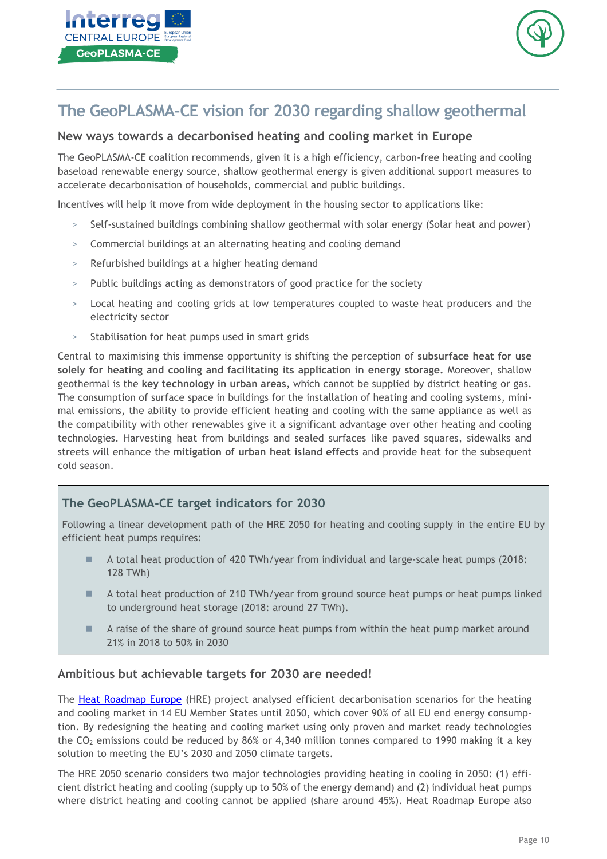



# **The GeoPLASMA-CE vision for 2030 regarding shallow geothermal**

### **New ways towards a decarbonised heating and cooling market in Europe**

The GeoPLASMA-CE coalition recommends, given it is a high efficiency, carbon-free heating and cooling baseload renewable energy source, shallow geothermal energy is given additional support measures to accelerate decarbonisation of households, commercial and public buildings.

Incentives will help it move from wide deployment in the housing sector to applications like:

- > Self-sustained buildings combining shallow geothermal with solar energy (Solar heat and power)
- > Commercial buildings at an alternating heating and cooling demand
- > Refurbished buildings at a higher heating demand
- > Public buildings acting as demonstrators of good practice for the society
- > Local heating and cooling grids at low temperatures coupled to waste heat producers and the electricity sector
- > Stabilisation for heat pumps used in smart grids

Central to maximising this immense opportunity is shifting the perception of **subsurface heat for use solely for heating and cooling and facilitating its application in energy storage.** Moreover, shallow geothermal is the **key technology in urban areas**, which cannot be supplied by district heating or gas. The consumption of surface space in buildings for the installation of heating and cooling systems, minimal emissions, the ability to provide efficient heating and cooling with the same appliance as well as the compatibility with other renewables give it a significant advantage over other heating and cooling technologies. Harvesting heat from buildings and sealed surfaces like paved squares, sidewalks and streets will enhance the **mitigation of urban heat island effects** and provide heat for the subsequent cold season.

#### **The GeoPLASMA-CE target indicators for 2030**

Following a linear development path of the HRE 2050 for heating and cooling supply in the entire EU by efficient heat pumps requires:

- A total heat production of 420 TWh/year from individual and large-scale heat pumps (2018: 128 TWh)
- A total heat production of 210 TWh/year from ground source heat pumps or heat pumps linked to underground heat storage (2018: around 27 TWh).
- A raise of the share of ground source heat pumps from within the heat pump market around 21% in 2018 to 50% in 2030

#### **Ambitious but achievable targets for 2030 are needed!**

The Heat [Roadmap](https://heatroadmap.eu/) Europe (HRE) project analysed efficient decarbonisation scenarios for the heating and cooling market in 14 EU Member States until 2050, which cover 90% of all EU end energy consumption. By redesigning the heating and cooling market using only proven and market ready technologies the  $CO<sub>2</sub>$  emissions could be reduced by 86% or 4,340 million tonnes compared to 1990 making it a key solution to meeting the EU's 2030 and 2050 climate targets.

The HRE 2050 scenario considers two major technologies providing heating in cooling in 2050: (1) efficient district heating and cooling (supply up to 50% of the energy demand) and (2) individual heat pumps where district heating and cooling cannot be applied (share around 45%). Heat Roadmap Europe also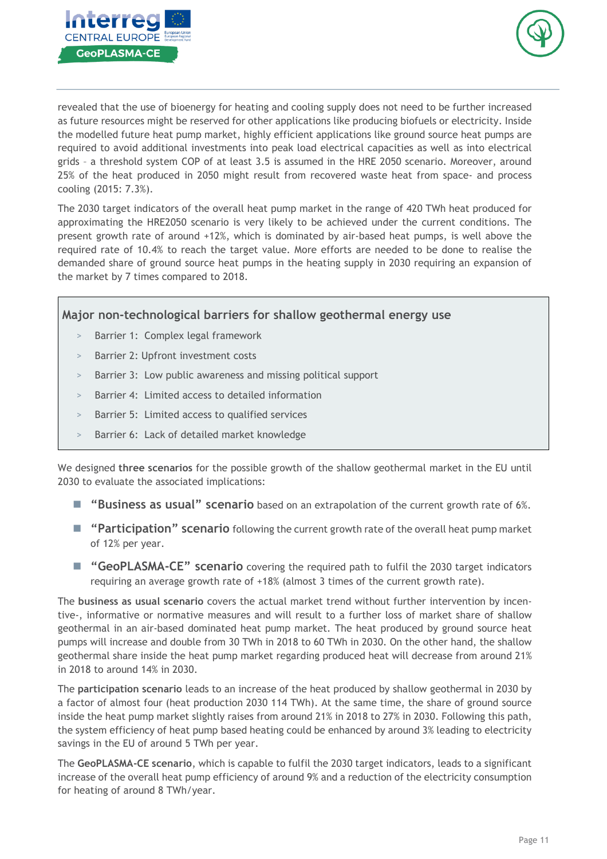



revealed that the use of bioenergy for heating and cooling supply does not need to be further increased as future resources might be reserved for other applications like producing biofuels or electricity. Inside the modelled future heat pump market, highly efficient applications like ground source heat pumps are required to avoid additional investments into peak load electrical capacities as well as into electrical grids – a threshold system COP of at least 3.5 is assumed in the HRE 2050 scenario. Moreover, around 25% of the heat produced in 2050 might result from recovered waste heat from space- and process cooling (2015: 7.3%).

The 2030 target indicators of the overall heat pump market in the range of 420 TWh heat produced for approximating the HRE2050 scenario is very likely to be achieved under the current conditions. The present growth rate of around +12%, which is dominated by air-based heat pumps, is well above the required rate of 10.4% to reach the target value. More efforts are needed to be done to realise the demanded share of ground source heat pumps in the heating supply in 2030 requiring an expansion of the market by 7 times compared to 2018.

#### **Major non-technological barriers for shallow geothermal energy use**

- Barrier 1: Complex legal framework
- > Barrier 2: Upfront investment costs
- Barrier 3: Low public awareness and missing political support
- Barrier 4: Limited access to detailed information
- Barrier 5: Limited access to qualified services
- > Barrier 6: Lack of detailed market knowledge

We designed **three scenarios** for the possible growth of the shallow geothermal market in the EU until 2030 to evaluate the associated implications:

- "Business as usual" scenario based on an extrapolation of the current growth rate of 6%.
- **"Participation" scenario** following the current growth rate of the overall heat pump market of 12% per year.
- "GeoPLASMA-CE" scenario covering the required path to fulfil the 2030 target indicators requiring an average growth rate of +18% (almost 3 times of the current growth rate).

The **business as usual scenario** covers the actual market trend without further intervention by incentive-, informative or normative measures and will result to a further loss of market share of shallow geothermal in an air-based dominated heat pump market. The heat produced by ground source heat pumps will increase and double from 30 TWh in 2018 to 60 TWh in 2030. On the other hand, the shallow geothermal share inside the heat pump market regarding produced heat will decrease from around 21% in 2018 to around 14% in 2030.

The **participation scenario** leads to an increase of the heat produced by shallow geothermal in 2030 by a factor of almost four (heat production 2030 114 TWh). At the same time, the share of ground source inside the heat pump market slightly raises from around 21% in 2018 to 27% in 2030. Following this path, the system efficiency of heat pump based heating could be enhanced by around 3% leading to electricity savings in the EU of around 5 TWh per year.

The **GeoPLASMA-CE scenario**, which is capable to fulfil the 2030 target indicators, leads to a significant increase of the overall heat pump efficiency of around 9% and a reduction of the electricity consumption for heating of around 8 TWh/year.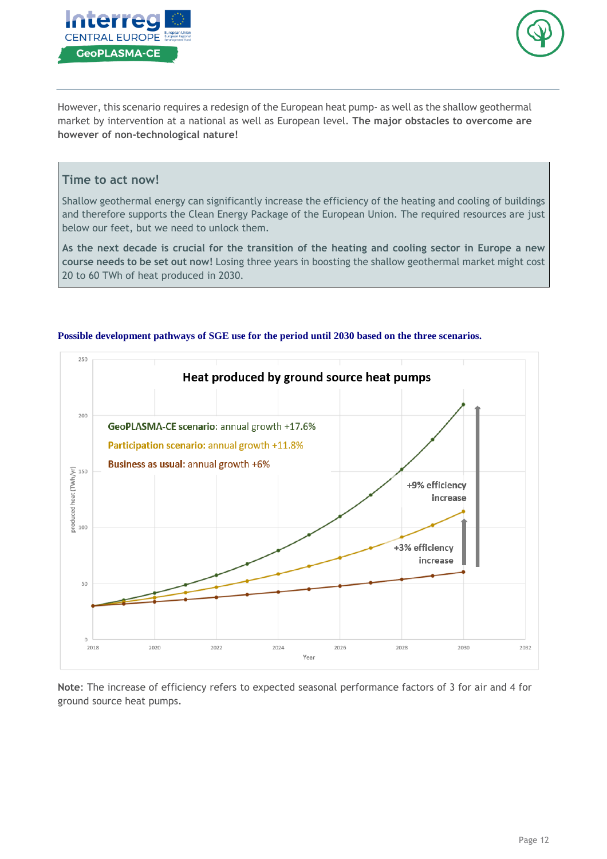



However, this scenario requires a redesign of the European heat pump- as well as the shallow geothermal market by intervention at a national as well as European level. **The major obstacles to overcome are however of non-technological nature!**

#### **Time to act now!**

Shallow geothermal energy can significantly increase the efficiency of the heating and cooling of buildings and therefore supports the Clean Energy Package of the European Union. The required resources are just below our feet, but we need to unlock them.

As the next decade is crucial for the transition of the heating and cooling sector in Europe a new **course needs to be set out now!** Losing three years in boosting the shallow geothermal market might cost 20 to 60 TWh of heat produced in 2030.



#### **Possible development pathways of SGE use for the period until 2030 based on the three scenarios.**

**Note**: The increase of efficiency refers to expected seasonal performance factors of 3 for air and 4 for ground source heat pumps.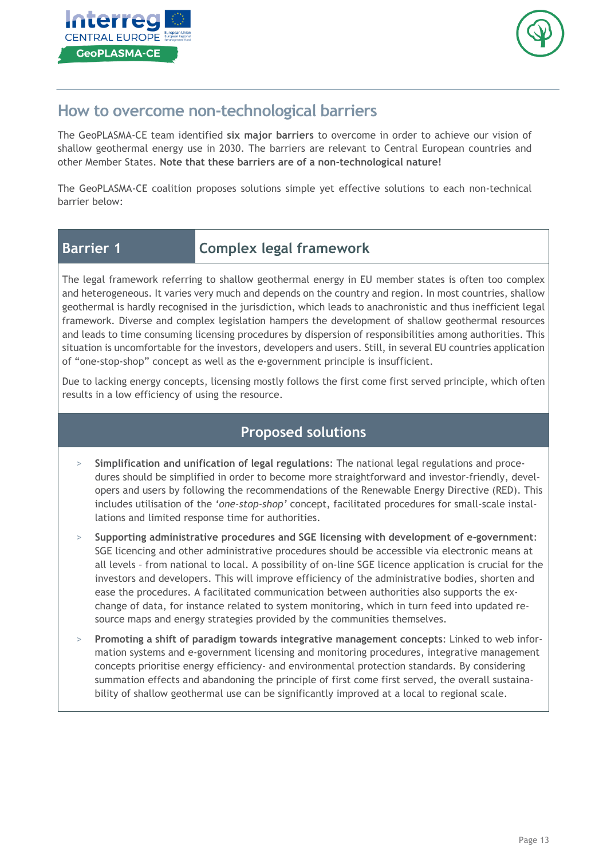



# **How to overcome non-technological barriers**

The GeoPLASMA-CE team identified **six major barriers** to overcome in order to achieve our vision of shallow geothermal energy use in 2030. The barriers are relevant to Central European countries and other Member States. **Note that these barriers are of a non-technological nature!**

The GeoPLASMA-CE coalition proposes solutions simple yet effective solutions to each non-technical barrier below:

# **Barrier 1 Complex legal framework**

The legal framework referring to shallow geothermal energy in EU member states is often too complex and heterogeneous. It varies very much and depends on the country and region. In most countries, shallow geothermal is hardly recognised in the jurisdiction, which leads to anachronistic and thus inefficient legal framework. Diverse and complex legislation hampers the development of shallow geothermal resources and leads to time consuming licensing procedures by dispersion of responsibilities among authorities. This situation is uncomfortable for the investors, developers and users. Still, in several EU countries application of "one-stop-shop" concept as well as the e-government principle is insufficient.

Due to lacking energy concepts, licensing mostly follows the first come first served principle, which often results in a low efficiency of using the resource.

- > **Simplification and unification of legal regulations**: The national legal regulations and procedures should be simplified in order to become more straightforward and investor-friendly, developers and users by following the recommendations of the Renewable Energy Directive (RED). This includes utilisation of the *'one-stop-shop'* concept, facilitated procedures for small-scale installations and limited response time for authorities.
- > **Supporting administrative procedures and SGE licensing with development of e-government**: SGE licencing and other administrative procedures should be accessible via electronic means at all levels – from national to local. A possibility of on-line SGE licence application is crucial for the investors and developers. This will improve efficiency of the administrative bodies, shorten and ease the procedures. A facilitated communication between authorities also supports the exchange of data, for instance related to system monitoring, which in turn feed into updated resource maps and energy strategies provided by the communities themselves.
- > **Promoting a shift of paradigm towards integrative management concepts**: Linked to web information systems and e-government licensing and monitoring procedures, integrative management concepts prioritise energy efficiency- and environmental protection standards. By considering summation effects and abandoning the principle of first come first served, the overall sustainability of shallow geothermal use can be significantly improved at a local to regional scale.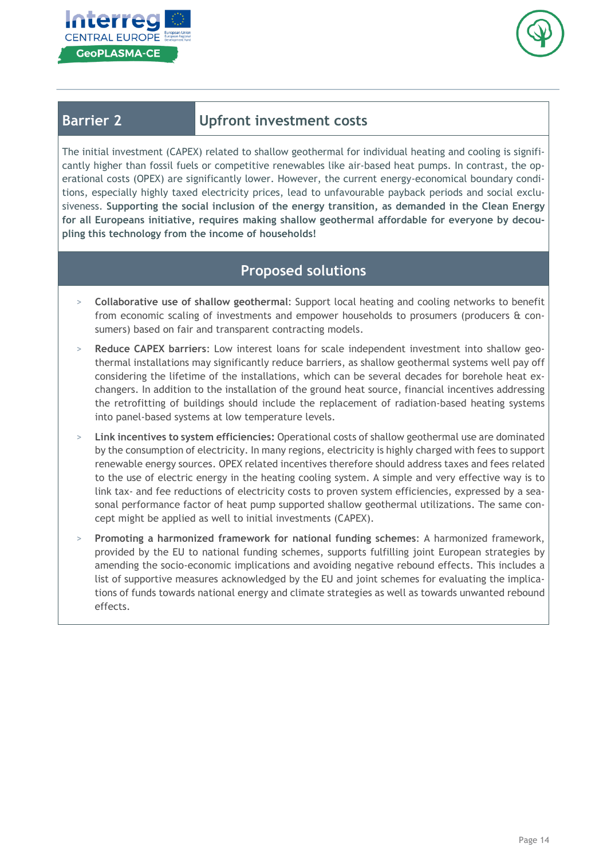



## **Barrier 2 Upfront investment costs**

The initial investment (CAPEX) related to shallow geothermal for individual heating and cooling is significantly higher than fossil fuels or competitive renewables like air-based heat pumps. In contrast, the operational costs (OPEX) are significantly lower. However, the current energy-economical boundary conditions, especially highly taxed electricity prices, lead to unfavourable payback periods and social exclusiveness. **Supporting the social inclusion of the energy transition, as demanded in the Clean Energy for all Europeans initiative, requires making shallow geothermal affordable for everyone by decoupling this technology from the income of households!**

- > **Collaborative use of shallow geothermal**: Support local heating and cooling networks to benefit from economic scaling of investments and empower households to prosumers (producers & consumers) based on fair and transparent contracting models.
- > **Reduce CAPEX barriers**: Low interest loans for scale independent investment into shallow geothermal installations may significantly reduce barriers, as shallow geothermal systems well pay off considering the lifetime of the installations, which can be several decades for borehole heat exchangers. In addition to the installation of the ground heat source, financial incentives addressing the retrofitting of buildings should include the replacement of radiation-based heating systems into panel-based systems at low temperature levels.
- > **Link incentives to system efficiencies:** Operational costs of shallow geothermal use are dominated by the consumption of electricity. In many regions, electricity is highly charged with fees to support renewable energy sources. OPEX related incentives therefore should address taxes and fees related to the use of electric energy in the heating cooling system. A simple and very effective way is to link tax- and fee reductions of electricity costs to proven system efficiencies, expressed by a seasonal performance factor of heat pump supported shallow geothermal utilizations. The same concept might be applied as well to initial investments (CAPEX).
- > **Promoting a harmonized framework for national funding schemes**: A harmonized framework, provided by the EU to national funding schemes, supports fulfilling joint European strategies by amending the socio-economic implications and avoiding negative rebound effects. This includes a list of supportive measures acknowledged by the EU and joint schemes for evaluating the implications of funds towards national energy and climate strategies as well as towards unwanted rebound effects.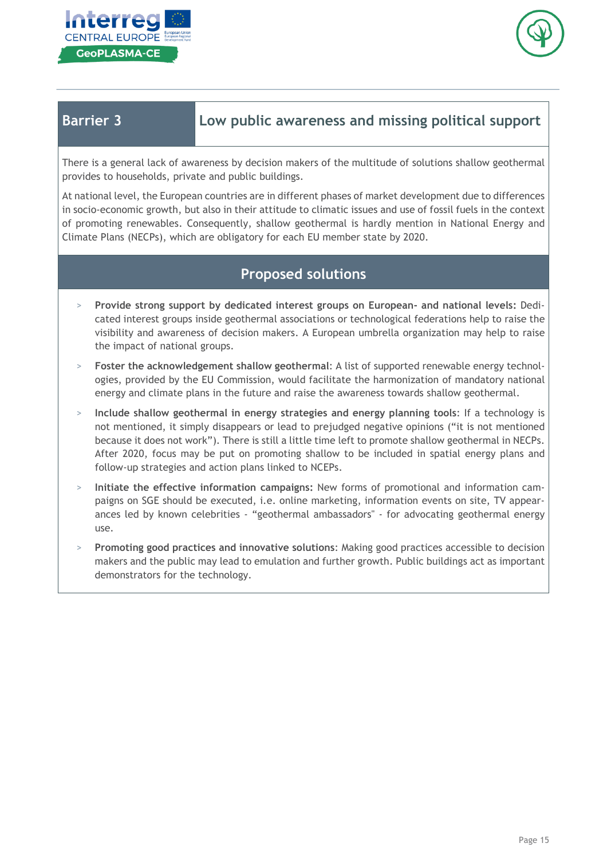



**Barrier 3 Low public awareness and missing political support**

There is a general lack of awareness by decision makers of the multitude of solutions shallow geothermal provides to households, private and public buildings.

At national level, the European countries are in different phases of market development due to differences in socio-economic growth, but also in their attitude to climatic issues and use of fossil fuels in the context of promoting renewables. Consequently, shallow geothermal is hardly mention in National Energy and Climate Plans (NECPs), which are obligatory for each EU member state by 2020.

- > **Provide strong support by dedicated interest groups on European- and national levels:** Dedicated interest groups inside geothermal associations or technological federations help to raise the visibility and awareness of decision makers. A European umbrella organization may help to raise the impact of national groups.
- > **Foster the acknowledgement shallow geothermal**: A list of supported renewable energy technologies, provided by the EU Commission, would facilitate the harmonization of mandatory national energy and climate plans in the future and raise the awareness towards shallow geothermal.
- > **Include shallow geothermal in energy strategies and energy planning tools**: If a technology is not mentioned, it simply disappears or lead to prejudged negative opinions ("it is not mentioned because it does not work"). There is still a little time left to promote shallow geothermal in NECPs. After 2020, focus may be put on promoting shallow to be included in spatial energy plans and follow-up strategies and action plans linked to NCEPs.
- > **Initiate the effective information campaigns:** New forms of promotional and information campaigns on SGE should be executed, i.e. online marketing, information events on site, TV appearances led by known celebrities - "geothermal ambassadors" - for advocating geothermal energy use.
- > **Promoting good practices and innovative solutions**: Making good practices accessible to decision makers and the public may lead to emulation and further growth. Public buildings act as important demonstrators for the technology.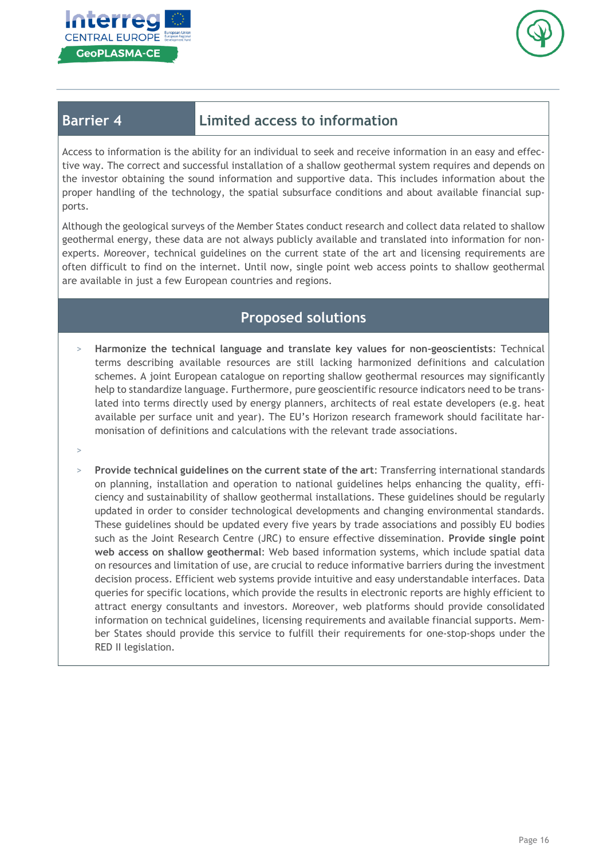



# **Barrier 4 Limited access to information**

Access to information is the ability for an individual to seek and receive information in an easy and effective way. The correct and successful installation of a shallow geothermal system requires and depends on the investor obtaining the sound information and supportive data. This includes information about the proper handling of the technology, the spatial subsurface conditions and about available financial supports.

Although the geological surveys of the Member States conduct research and collect data related to shallow geothermal energy, these data are not always publicly available and translated into information for nonexperts. Moreover, technical guidelines on the current state of the art and licensing requirements are often difficult to find on the internet. Until now, single point web access points to shallow geothermal are available in just a few European countries and regions.

- > **Harmonize the technical language and translate key values for non-geoscientists**: Technical terms describing available resources are still lacking harmonized definitions and calculation schemes. A joint European catalogue on reporting shallow geothermal resources may significantly help to standardize language. Furthermore, pure geoscientific resource indicators need to be translated into terms directly used by energy planners, architects of real estate developers (e.g. heat available per surface unit and year). The EU's Horizon research framework should facilitate harmonisation of definitions and calculations with the relevant trade associations.
- >
- > **Provide technical guidelines on the current state of the art**: Transferring international standards on planning, installation and operation to national guidelines helps enhancing the quality, efficiency and sustainability of shallow geothermal installations. These guidelines should be regularly updated in order to consider technological developments and changing environmental standards. These guidelines should be updated every five years by trade associations and possibly EU bodies such as the Joint Research Centre (JRC) to ensure effective dissemination. **Provide single point web access on shallow geothermal**: Web based information systems, which include spatial data on resources and limitation of use, are crucial to reduce informative barriers during the investment decision process. Efficient web systems provide intuitive and easy understandable interfaces. Data queries for specific locations, which provide the results in electronic reports are highly efficient to attract energy consultants and investors. Moreover, web platforms should provide consolidated information on technical guidelines, licensing requirements and available financial supports. Member States should provide this service to fulfill their requirements for one-stop-shops under the RED II legislation.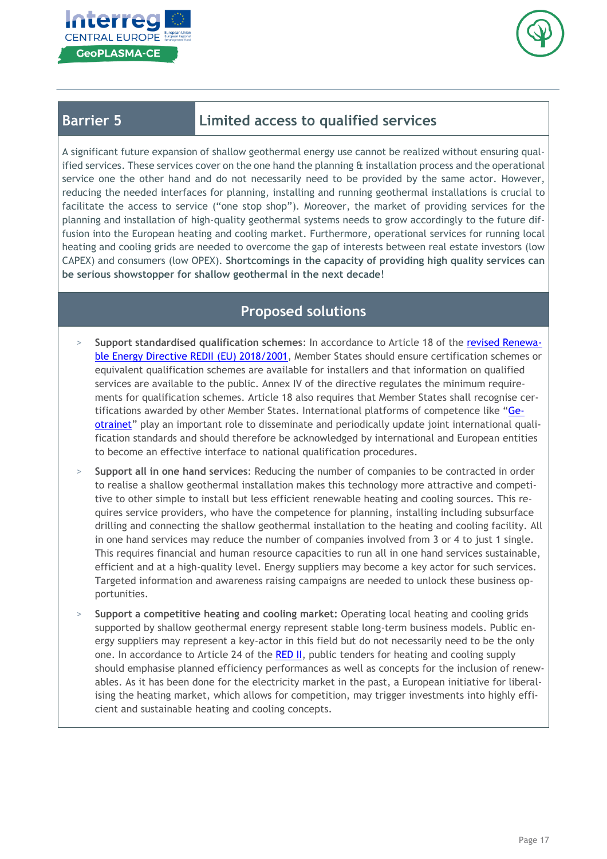



# **Barrier 5 Limited access to qualified services**

A significant future expansion of shallow geothermal energy use cannot be realized without ensuring qualified services. These services cover on the one hand the planning & installation process and the operational service one the other hand and do not necessarily need to be provided by the same actor. However, reducing the needed interfaces for planning, installing and running geothermal installations is crucial to facilitate the access to service ("one stop shop"). Moreover, the market of providing services for the planning and installation of high-quality geothermal systems needs to grow accordingly to the future diffusion into the European heating and cooling market. Furthermore, operational services for running local heating and cooling grids are needed to overcome the gap of interests between real estate investors (low CAPEX) and consumers (low OPEX). **Shortcomings in the capacity of providing high quality services can be serious showstopper for shallow geothermal in the next decade**!

- > **Support standardised qualification schemes**: In accordance to Article 18 of the revised [Renewa](https://eur-lex.europa.eu/legal-content/EN/TXT/?uri=uriserv:OJ.L_.2018.328.01.0082.01.ENG&toc=OJ:L:2018:328:TOC)ble Energy Directive REDII (EU) [2018/2001,](https://eur-lex.europa.eu/legal-content/EN/TXT/?uri=uriserv:OJ.L_.2018.328.01.0082.01.ENG&toc=OJ:L:2018:328:TOC) Member States should ensure certification schemes or equivalent qualification schemes are available for installers and that information on qualified services are available to the public. Annex IV of the directive regulates the minimum requirements for qualification schemes. Article 18 also requires that Member States shall recognise certifications awarded by other Member States. International platforms of competence like "[Ge](https://geotrainet.eu/)[otrainet](https://geotrainet.eu/)" play an important role to disseminate and periodically update joint international qualification standards and should therefore be acknowledged by international and European entities to become an effective interface to national qualification procedures.
- > **Support all in one hand services**: Reducing the number of companies to be contracted in order to realise a shallow geothermal installation makes this technology more attractive and competitive to other simple to install but less efficient renewable heating and cooling sources. This requires service providers, who have the competence for planning, installing including subsurface drilling and connecting the shallow geothermal installation to the heating and cooling facility. All in one hand services may reduce the number of companies involved from 3 or 4 to just 1 single. This requires financial and human resource capacities to run all in one hand services sustainable, efficient and at a high-quality level. Energy suppliers may become a key actor for such services. Targeted information and awareness raising campaigns are needed to unlock these business opportunities.
- > **Support a competitive heating and cooling market:** Operating local heating and cooling grids supported by shallow geothermal energy represent stable long-term business models. Public energy suppliers may represent a key-actor in this field but do not necessarily need to be the only one. In accordance to Article 24 of the [RED](https://eur-lex.europa.eu/legal-content/EN/TXT/?uri=uriserv:OJ.L_.2018.328.01.0082.01.ENG&toc=OJ:L:2018:328:TOC) II, public tenders for heating and cooling supply should emphasise planned efficiency performances as well as concepts for the inclusion of renewables. As it has been done for the electricity market in the past, a European initiative for liberalising the heating market, which allows for competition, may trigger investments into highly efficient and sustainable heating and cooling concepts.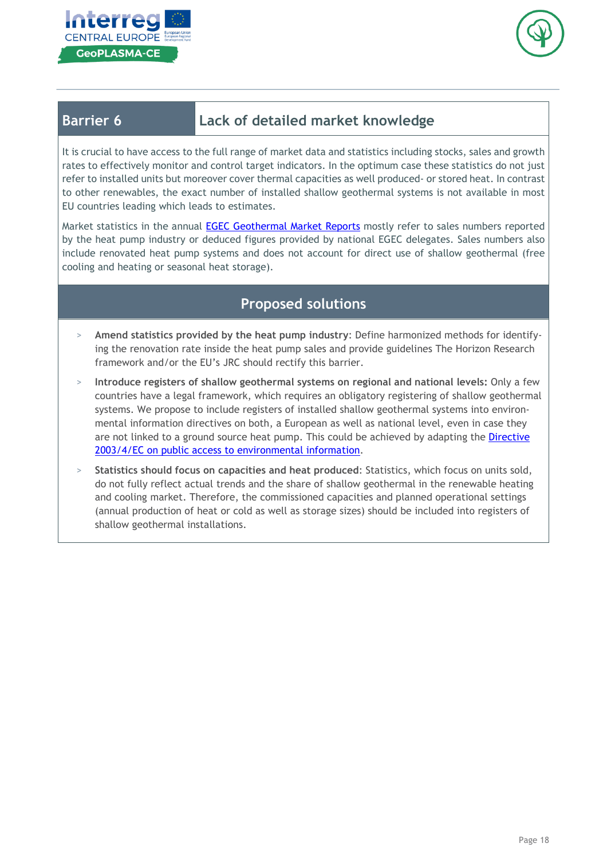



# **Barrier 6 Lack of detailed market knowledge**

It is crucial to have access to the full range of market data and statistics including stocks, sales and growth rates to effectively monitor and control target indicators. In the optimum case these statistics do not just refer to installed units but moreover cover thermal capacities as well produced- or stored heat. In contrast to other renewables, the exact number of installed shallow geothermal systems is not available in most EU countries leading which leads to estimates.

Market statistics in the annual EGEC [Geothermal](https://www.egec.org/media-publications/egec-geothermal-market-report-2018/) Market Reports mostly refer to sales numbers reported by the heat pump industry or deduced figures provided by national EGEC delegates. Sales numbers also include renovated heat pump systems and does not account for direct use of shallow geothermal (free cooling and heating or seasonal heat storage).

- > **Amend statistics provided by the heat pump industry**: Define harmonized methods for identifying the renovation rate inside the heat pump sales and provide guidelines The Horizon Research framework and/or the EU's JRC should rectify this barrier.
- > **Introduce registers of shallow geothermal systems on regional and national levels:** Only a few countries have a legal framework, which requires an obligatory registering of shallow geothermal systems. We propose to include registers of installed shallow geothermal systems into environmental information directives on both, a European as well as national level, even in case they are not linked to a ground source heat pump. This could be achieved by adapting the [Directive](https://eur-lex.europa.eu/legal-content/EN/TXT/PDF/?uri=CELEX:32003L0004&from=EN) 2003/4/EC on public access to [environmental](https://eur-lex.europa.eu/legal-content/EN/TXT/PDF/?uri=CELEX:32003L0004&from=EN) information.
- > **Statistics should focus on capacities and heat produced**: Statistics, which focus on units sold, do not fully reflect actual trends and the share of shallow geothermal in the renewable heating and cooling market. Therefore, the commissioned capacities and planned operational settings (annual production of heat or cold as well as storage sizes) should be included into registers of shallow geothermal installations.